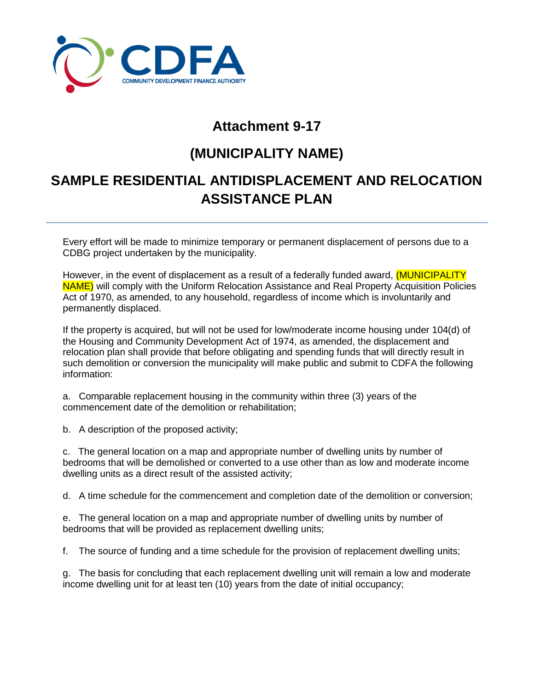

## **Attachment 9-17**

## **(MUNICIPALITY NAME)**

## **SAMPLE RESIDENTIAL ANTIDISPLACEMENT AND RELOCATION ASSISTANCE PLAN**

Every effort will be made to minimize temporary or permanent displacement of persons due to a CDBG project undertaken by the municipality.

However, in the event of displacement as a result of a federally funded award, *(MUNICIPALITY* NAME) will comply with the Uniform Relocation Assistance and Real Property Acquisition Policies Act of 1970, as amended, to any household, regardless of income which is involuntarily and permanently displaced.

If the property is acquired, but will not be used for low/moderate income housing under 104(d) of the Housing and Community Development Act of 1974, as amended, the displacement and relocation plan shall provide that before obligating and spending funds that will directly result in such demolition or conversion the municipality will make public and submit to CDFA the following information:

a. Comparable replacement housing in the community within three (3) years of the commencement date of the demolition or rehabilitation;

b. A description of the proposed activity;

c. The general location on a map and appropriate number of dwelling units by number of bedrooms that will be demolished or converted to a use other than as low and moderate income dwelling units as a direct result of the assisted activity;

d. A time schedule for the commencement and completion date of the demolition or conversion;

e. The general location on a map and appropriate number of dwelling units by number of bedrooms that will be provided as replacement dwelling units;

f. The source of funding and a time schedule for the provision of replacement dwelling units;

g. The basis for concluding that each replacement dwelling unit will remain a low and moderate income dwelling unit for at least ten (10) years from the date of initial occupancy;